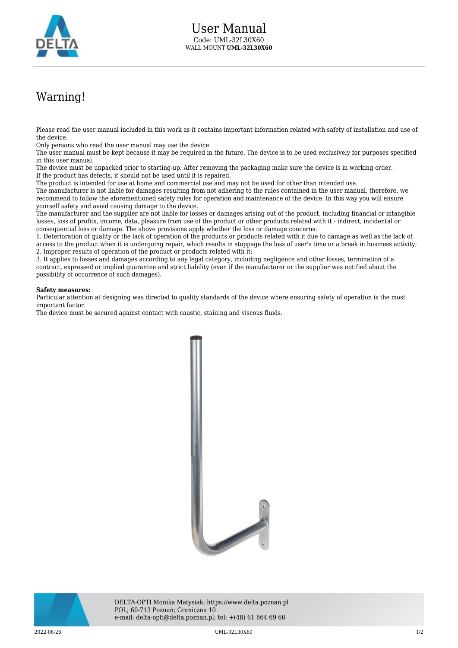

## Warning!

Please read the user manual included in this work as it contains important information related with safety of installation and use of the device.

Only persons who read the user manual may use the device.

The user manual must be kept because it may be required in the future. The device is to be used exclusively for purposes specified in this user manual.

The device must be unpacked prior to starting-up. After removing the packaging make sure the device is in working order. If the product has defects, it should not be used until it is repaired.

The product is intended for use at home and commercial use and may not be used for other than intended use.

The manufacturer is not liable for damages resulting from not adhering to the rules contained in the user manual, therefore, we recommend to follow the aforementioned safety rules for operation and maintenance of the device. In this way you will ensure yourself safety and avoid causing damage to the device.

The manufacturer and the supplier are not liable for losses or damages arising out of the product, including financial or intangible losses, loss of profits, income, data, pleasure from use of the product or other products related with it - indirect, incidental or consequential loss or damage. The above provisions apply whether the loss or damage concerns:

1. Deterioration of quality or the lack of operation of the products or products related with it due to damage as well as the lack of access to the product when it is undergoing repair, which results in stoppage the loss of user's time or a break in business activity; 2. Improper results of operation of the product or products related with it;

3. It applies to losses and damages according to any legal category, including negligence and other losses, termination of a contract, expressed or implied guarantee and strict liability (even if the manufacturer or the supplier was notified about the possibility of occurrence of such damages).

## **Safety measures:**

Particular attention at designing was directed to quality standards of the device where ensuring safety of operation is the most important factor.

The device must be secured against contact with caustic, staining and viscous fluids.





DELTA-OPTI Monika Matysiak; https://www.delta.poznan.pl POL; 60-713 Poznań; Graniczna 10 e-mail: delta-opti@delta.poznan.pl; tel: +(48) 61 864 69 60

2022-06-26 UML-32L30X60 1/2